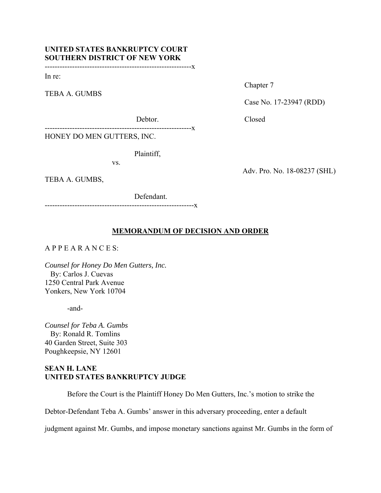# **UNITED STATES BANKRUPTCY COURT SOUTHERN DISTRICT OF NEW YORK**

-----------------------------------------------------------x

In re:

TEBA A. GUMBS

Chapter 7

Case No. 17-23947 (RDD)

Debtor. Closed

-----------------------------------------------------------x

HONEY DO MEN GUTTERS, INC.

Plaintiff,

vs.

TEBA A. GUMBS,

 Defendant. ------------------------------------------------------------x

## Adv. Pro. No. 18-08237 (SHL)

## **MEMORANDUM OF DECISION AND ORDER**

## A P P E A R A N C E S:

*Counsel for Honey Do Men Gutters, Inc.*  By: Carlos J. Cuevas 1250 Central Park Avenue Yonkers, New York 10704

-and-

*Counsel for Teba A. Gumbs*  By: Ronald R. Tomlins 40 Garden Street, Suite 303 Poughkeepsie, NY 12601

## **SEAN H. LANE UNITED STATES BANKRUPTCY JUDGE**

Before the Court is the Plaintiff Honey Do Men Gutters, Inc.'s motion to strike the

Debtor-Defendant Teba A. Gumbs' answer in this adversary proceeding, enter a default

judgment against Mr. Gumbs, and impose monetary sanctions against Mr. Gumbs in the form of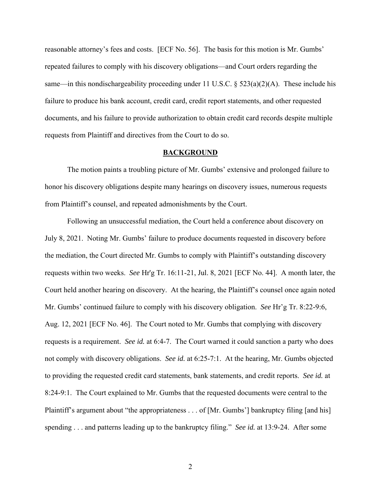reasonable attorney's fees and costs. [ECF No. 56]. The basis for this motion is Mr. Gumbs' repeated failures to comply with his discovery obligations—and Court orders regarding the same—in this nondischargeability proceeding under 11 U.S.C. §  $523(a)(2)(A)$ . These include his failure to produce his bank account, credit card, credit report statements, and other requested documents, and his failure to provide authorization to obtain credit card records despite multiple requests from Plaintiff and directives from the Court to do so.

#### **BACKGROUND**

The motion paints a troubling picture of Mr. Gumbs' extensive and prolonged failure to honor his discovery obligations despite many hearings on discovery issues, numerous requests from Plaintiff's counsel, and repeated admonishments by the Court.

Following an unsuccessful mediation, the Court held a conference about discovery on July 8, 2021. Noting Mr. Gumbs' failure to produce documents requested in discovery before the mediation, the Court directed Mr. Gumbs to comply with Plaintiff's outstanding discovery requests within two weeks. *See* Hr'g Tr. 16:11-21, Jul. 8, 2021 [ECF No. 44]. A month later, the Court held another hearing on discovery. At the hearing, the Plaintiff's counsel once again noted Mr. Gumbs' continued failure to comply with his discovery obligation. *See* Hr'g Tr. 8:22-9:6, Aug. 12, 2021 [ECF No. 46]. The Court noted to Mr. Gumbs that complying with discovery requests is a requirement. *See id.* at 6:4-7. The Court warned it could sanction a party who does not comply with discovery obligations. *See id.* at 6:25-7:1. At the hearing, Mr. Gumbs objected to providing the requested credit card statements, bank statements, and credit reports. *See id.* at 8:24-9:1. The Court explained to Mr. Gumbs that the requested documents were central to the Plaintiff's argument about "the appropriateness . . . of [Mr. Gumbs'] bankruptcy filing [and his] spending . . . and patterns leading up to the bankruptcy filing." *See id.* at 13:9-24. After some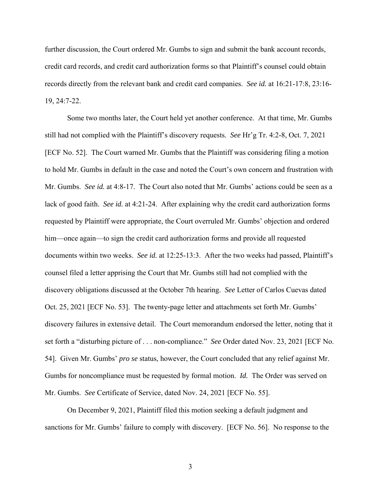further discussion, the Court ordered Mr. Gumbs to sign and submit the bank account records, credit card records, and credit card authorization forms so that Plaintiff's counsel could obtain records directly from the relevant bank and credit card companies. *See id.* at 16:21-17:8, 23:16- 19, 24:7-22.

 Some two months later, the Court held yet another conference. At that time, Mr. Gumbs still had not complied with the Plaintiff's discovery requests. *See* Hr'g Tr. 4:2-8, Oct. 7, 2021 [ECF No. 52]. The Court warned Mr. Gumbs that the Plaintiff was considering filing a motion to hold Mr. Gumbs in default in the case and noted the Court's own concern and frustration with Mr. Gumbs. *See id.* at 4:8-17. The Court also noted that Mr. Gumbs' actions could be seen as a lack of good faith. *See id.* at 4:21-24. After explaining why the credit card authorization forms requested by Plaintiff were appropriate, the Court overruled Mr. Gumbs' objection and ordered him—once again—to sign the credit card authorization forms and provide all requested documents within two weeks. *See id.* at 12:25-13:3. After the two weeks had passed, Plaintiff's counsel filed a letter apprising the Court that Mr. Gumbs still had not complied with the discovery obligations discussed at the October 7th hearing. *See* Letter of Carlos Cuevas dated Oct. 25, 2021 [ECF No. 53]. The twenty-page letter and attachments set forth Mr. Gumbs' discovery failures in extensive detail. The Court memorandum endorsed the letter, noting that it set forth a "disturbing picture of . . . non-compliance." *See* Order dated Nov. 23, 2021 [ECF No. 54]. Given Mr. Gumbs' *pro se* status, however, the Court concluded that any relief against Mr. Gumbs for noncompliance must be requested by formal motion. *Id.* The Order was served on Mr. Gumbs. *See* Certificate of Service, dated Nov. 24, 2021 [ECF No. 55].

 On December 9, 2021, Plaintiff filed this motion seeking a default judgment and sanctions for Mr. Gumbs' failure to comply with discovery. [ECF No. 56]. No response to the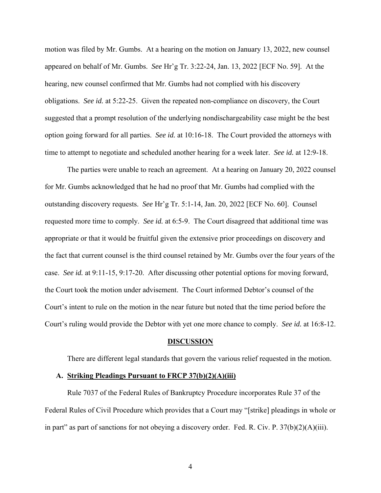motion was filed by Mr. Gumbs. At a hearing on the motion on January 13, 2022, new counsel appeared on behalf of Mr. Gumbs. *See* Hr'g Tr. 3:22-24, Jan. 13, 2022 [ECF No. 59]. At the hearing, new counsel confirmed that Mr. Gumbs had not complied with his discovery obligations. *See id.* at 5:22-25. Given the repeated non-compliance on discovery, the Court suggested that a prompt resolution of the underlying nondischargeability case might be the best option going forward for all parties. *See id.* at 10:16-18. The Court provided the attorneys with time to attempt to negotiate and scheduled another hearing for a week later. *See id.* at 12:9-18.

 The parties were unable to reach an agreement. At a hearing on January 20, 2022 counsel for Mr. Gumbs acknowledged that he had no proof that Mr. Gumbs had complied with the outstanding discovery requests. *See* Hr'g Tr. 5:1-14, Jan. 20, 2022 [ECF No. 60]. Counsel requested more time to comply. *See id.* at 6:5-9. The Court disagreed that additional time was appropriate or that it would be fruitful given the extensive prior proceedings on discovery and the fact that current counsel is the third counsel retained by Mr. Gumbs over the four years of the case. *See id.* at 9:11-15, 9:17-20. After discussing other potential options for moving forward, the Court took the motion under advisement. The Court informed Debtor's counsel of the Court's intent to rule on the motion in the near future but noted that the time period before the Court's ruling would provide the Debtor with yet one more chance to comply. *See id.* at 16:8-12.

#### **DISCUSSION**

There are different legal standards that govern the various relief requested in the motion.

#### **A. Striking Pleadings Pursuant to FRCP 37(b)(2)(A)(iii)**

Rule 7037 of the Federal Rules of Bankruptcy Procedure incorporates Rule 37 of the Federal Rules of Civil Procedure which provides that a Court may "[strike] pleadings in whole or in part" as part of sanctions for not obeying a discovery order. Fed. R. Civ. P.  $37(b)(2)(A)(iii)$ .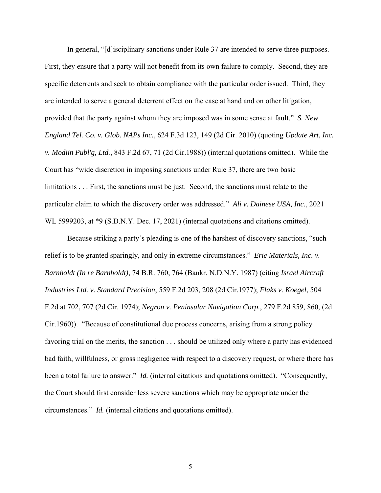In general, "[d]isciplinary sanctions under Rule 37 are intended to serve three purposes. First, they ensure that a party will not benefit from its own failure to comply. Second, they are specific deterrents and seek to obtain compliance with the particular order issued. Third, they are intended to serve a general deterrent effect on the case at hand and on other litigation, provided that the party against whom they are imposed was in some sense at fault." *S. New England Tel. Co. v. Glob. NAPs Inc.*, 624 F.3d 123, 149 (2d Cir. 2010) (quoting *Update Art, Inc. v. Modiin Publ'g, Ltd.*, 843 F.2d 67, 71 (2d Cir.1988)) (internal quotations omitted). While the Court has "wide discretion in imposing sanctions under Rule 37, there are two basic limitations . . . First, the sanctions must be just. Second, the sanctions must relate to the particular claim to which the discovery order was addressed." *Ali v. Dainese USA, Inc.*, 2021 WL 5999203, at \*9 (S.D.N.Y. Dec. 17, 2021) (internal quotations and citations omitted).

Because striking a party's pleading is one of the harshest of discovery sanctions, "such relief is to be granted sparingly, and only in extreme circumstances." *Erie Materials, Inc. v. Barnholdt (In re Barnholdt)*, 74 B.R. 760, 764 (Bankr. N.D.N.Y. 1987) (citing *Israel Aircraft Industries Ltd. v. Standard Precision*, 559 F.2d 203, 208 (2d Cir.1977); *Flaks v. Koegel*, 504 F.2d at 702, 707 (2d Cir. 1974); *Negron v. Peninsular Navigation Corp.*, 279 F.2d 859, 860, (2d Cir.1960)). "Because of constitutional due process concerns, arising from a strong policy favoring trial on the merits, the sanction . . . should be utilized only where a party has evidenced bad faith, willfulness, or gross negligence with respect to a discovery request, or where there has been a total failure to answer." *Id.* (internal citations and quotations omitted). "Consequently, the Court should first consider less severe sanctions which may be appropriate under the circumstances." *Id.* (internal citations and quotations omitted).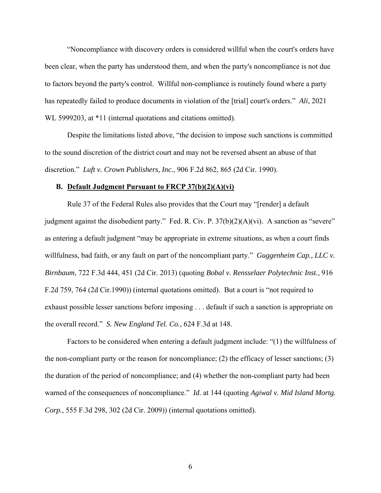"Noncompliance with discovery orders is considered willful when the court's orders have been clear, when the party has understood them, and when the party's noncompliance is not due to factors beyond the party's control. Willful non-compliance is routinely found where a party has repeatedly failed to produce documents in violation of the [trial] court's orders." *Ali*, 2021 WL 5999203, at \*11 (internal quotations and citations omitted).

Despite the limitations listed above, "the decision to impose such sanctions is committed to the sound discretion of the district court and may not be reversed absent an abuse of that discretion." *Luft v. Crown Publishers, Inc.*, 906 F.2d 862, 865 (2d Cir. 1990).

#### **B. Default Judgment Pursuant to FRCP 37(b)(2)(A)(vi)**

 Rule 37 of the Federal Rules also provides that the Court may "[render] a default judgment against the disobedient party." Fed. R. Civ. P.  $37(b)(2)(A)(vi)$ . A sanction as "severe" as entering a default judgment "may be appropriate in extreme situations, as when a court finds willfulness, bad faith, or any fault on part of the noncompliant party." *Guggenheim Cap., LLC v. Birnbaum*, 722 F.3d 444, 451 (2d Cir. 2013) (quoting *Bobal v. Rensselaer Polytechnic Inst.*, 916 F.2d 759, 764 (2d Cir.1990)) (internal quotations omitted). But a court is "not required to exhaust possible lesser sanctions before imposing . . . default if such a sanction is appropriate on the overall record." *S. New England Tel. Co.*, 624 F.3d at 148.

 Factors to be considered when entering a default judgment include: "(1) the willfulness of the non-compliant party or the reason for noncompliance; (2) the efficacy of lesser sanctions; (3) the duration of the period of noncompliance; and (4) whether the non-compliant party had been warned of the consequences of noncompliance." *Id.* at 144 (quoting *Agiwal v. Mid Island Mortg. Corp.*, 555 F.3d 298, 302 (2d Cir. 2009)) (internal quotations omitted).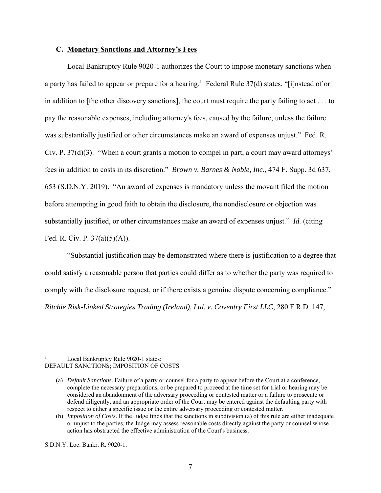### **C. Monetary Sanctions and Attorney's Fees**

 Local Bankruptcy Rule 9020-1 authorizes the Court to impose monetary sanctions when a party has failed to appear or prepare for a hearing.<sup>1</sup> Federal Rule 37(d) states, "[i]nstead of or in addition to [the other discovery sanctions], the court must require the party failing to act . . . to pay the reasonable expenses, including attorney's fees, caused by the failure, unless the failure was substantially justified or other circumstances make an award of expenses unjust." Fed. R. Civ. P. 37(d)(3). "When a court grants a motion to compel in part, a court may award attorneys' fees in addition to costs in its discretion." *Brown v. Barnes & Noble, Inc.*, 474 F. Supp. 3d 637, 653 (S.D.N.Y. 2019). "An award of expenses is mandatory unless the movant filed the motion before attempting in good faith to obtain the disclosure, the nondisclosure or objection was substantially justified, or other circumstances make an award of expenses unjust." *Id.* (citing Fed. R. Civ. P. 37(a)(5)(A)).

 "Substantial justification may be demonstrated where there is justification to a degree that could satisfy a reasonable person that parties could differ as to whether the party was required to comply with the disclosure request, or if there exists a genuine dispute concerning compliance." *Ritchie Risk-Linked Strategies Trading (Ireland), Ltd. v. Coventry First LLC*, 280 F.R.D. 147,

<sup>1</sup> Local Bankruptcy Rule 9020-1 states: DEFAULT SANCTIONS; IMPOSITION OF COSTS

<sup>(</sup>a) *Default Sanctions*. Failure of a party or counsel for a party to appear before the Court at a conference, complete the necessary preparations, or be prepared to proceed at the time set for trial or hearing may be considered an abandonment of the adversary proceeding or contested matter or a failure to prosecute or defend diligently, and an appropriate order of the Court may be entered against the defaulting party with respect to either a specific issue or the entire adversary proceeding or contested matter.

<sup>(</sup>b) *Imposition of Costs*. If the Judge finds that the sanctions in subdivision (a) of this rule are either inadequate or unjust to the parties, the Judge may assess reasonable costs directly against the party or counsel whose action has obstructed the effective administration of the Court's business.

S.D.N.Y. Loc. Bankr. R. 9020-1.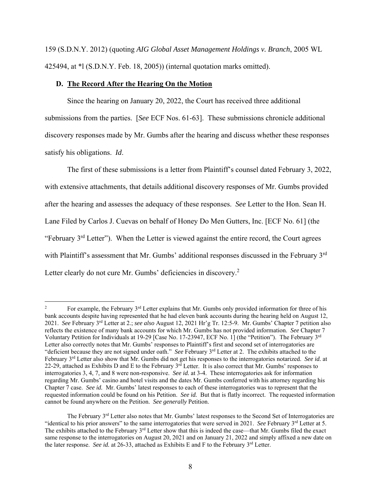159 (S.D.N.Y. 2012) (quoting *AIG Global Asset Management Holdings v. Branch*, 2005 WL 425494, at \*l (S.D.N.Y. Feb. 18, 2005)) (internal quotation marks omitted).

### **D. The Record After the Hearing On the Motion**

Since the hearing on January 20, 2022, the Court has received three additional submissions from the parties. [*See* ECF Nos. 61-63]. These submissions chronicle additional discovery responses made by Mr. Gumbs after the hearing and discuss whether these responses satisfy his obligations. *Id*.

The first of these submissions is a letter from Plaintiff's counsel dated February 3, 2022, with extensive attachments, that details additional discovery responses of Mr. Gumbs provided after the hearing and assesses the adequacy of these responses. *See* Letter to the Hon. Sean H. Lane Filed by Carlos J. Cuevas on behalf of Honey Do Men Gutters, Inc. [ECF No. 61] (the "February  $3<sup>rd</sup>$  Letter"). When the Letter is viewed against the entire record, the Court agrees with Plaintiff's assessment that Mr. Gumbs' additional responses discussed in the February 3rd Letter clearly do not cure Mr. Gumbs' deficiencies in discovery.<sup>2</sup>

<sup>2</sup> For example, the February 3<sup>rd</sup> Letter explains that Mr. Gumbs only provided information for three of his bank accounts despite having represented that he had eleven bank accounts during the hearing held on August 12, 2021. *See* February 3rd Letter at 2.; *see also* August 12, 2021 Hr'g Tr. 12:5-9. Mr. Gumbs' Chapter 7 petition also reflects the existence of many bank accounts for which Mr. Gumbs has not provided information. *See* Chapter 7 Voluntary Petition for Individuals at 19-29 [Case No. 17-23947, ECF No. 1] (the "Petition"). The February 3rd Letter also correctly notes that Mr. Gumbs' responses to Plaintiff's first and second set of interrogatories are "deficient because they are not signed under oath." *See* February 3<sup>rd</sup> Letter at 2. The exhibits attached to the February 3rd Letter also show that Mr. Gumbs did not get his responses to the interrogatories notarized. *See id.* at 22-29, attached as Exhibits D and E to the February  $3^{rd}$  Letter. It is also correct that Mr. Gumbs' responses to interrogatories 3, 4, 7, and 8 were non-responsive. *See id.* at 3-4. These interrogatories ask for information regarding Mr. Gumbs' casino and hotel visits and the dates Mr. Gumbs conferred with his attorney regarding his Chapter 7 case. *See id.* Mr. Gumbs' latest responses to each of these interrogatories was to represent that the requested information could be found on his Petition. *See id.* But that is flatly incorrect. The requested information cannot be found anywhere on the Petition. *See generally* Petition.

The February 3<sup>rd</sup> Letter also notes that Mr. Gumbs' latest responses to the Second Set of Interrogatories are "identical to his prior answers" to the same interrogatories that were served in 2021. *See* February 3<sup>rd</sup> Letter at 5. The exhibits attached to the February  $3<sup>rd</sup>$  Letter show that this is indeed the case—that Mr. Gumbs filed the exact same response to the interrogatories on August 20, 2021 and on January 21, 2022 and simply affixed a new date on the later response. *See id.* at 26-33, attached as Exhibits E and F to the February 3<sup>rd</sup> Letter.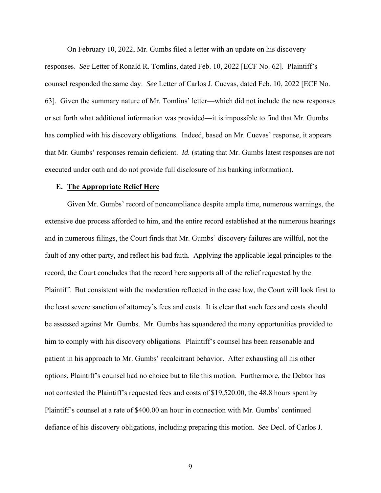On February 10, 2022, Mr. Gumbs filed a letter with an update on his discovery responses. *See* Letter of Ronald R. Tomlins, dated Feb. 10, 2022 [ECF No. 62]. Plaintiff's counsel responded the same day. *See* Letter of Carlos J. Cuevas, dated Feb. 10, 2022 [ECF No. 63]. Given the summary nature of Mr. Tomlins' letter—which did not include the new responses or set forth what additional information was provided—it is impossible to find that Mr. Gumbs has complied with his discovery obligations. Indeed, based on Mr. Cuevas' response, it appears that Mr. Gumbs' responses remain deficient. *Id.* (stating that Mr. Gumbs latest responses are not executed under oath and do not provide full disclosure of his banking information).

#### **E. The Appropriate Relief Here**

 Given Mr. Gumbs' record of noncompliance despite ample time, numerous warnings, the extensive due process afforded to him, and the entire record established at the numerous hearings and in numerous filings, the Court finds that Mr. Gumbs' discovery failures are willful, not the fault of any other party, and reflect his bad faith. Applying the applicable legal principles to the record, the Court concludes that the record here supports all of the relief requested by the Plaintiff. But consistent with the moderation reflected in the case law, the Court will look first to the least severe sanction of attorney's fees and costs. It is clear that such fees and costs should be assessed against Mr. Gumbs. Mr. Gumbs has squandered the many opportunities provided to him to comply with his discovery obligations. Plaintiff's counsel has been reasonable and patient in his approach to Mr. Gumbs' recalcitrant behavior. After exhausting all his other options, Plaintiff's counsel had no choice but to file this motion. Furthermore, the Debtor has not contested the Plaintiff's requested fees and costs of \$19,520.00, the 48.8 hours spent by Plaintiff's counsel at a rate of \$400.00 an hour in connection with Mr. Gumbs' continued defiance of his discovery obligations, including preparing this motion. *See* Decl. of Carlos J.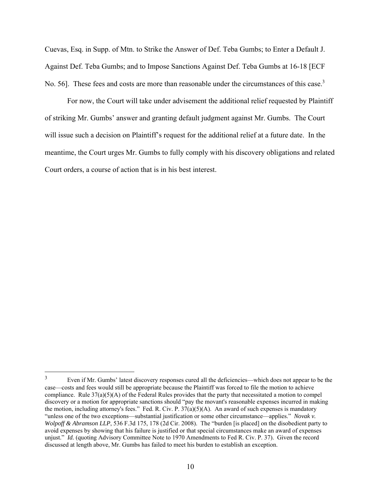Cuevas, Esq. in Supp. of Mtn. to Strike the Answer of Def. Teba Gumbs; to Enter a Default J. Against Def. Teba Gumbs; and to Impose Sanctions Against Def. Teba Gumbs at 16-18 [ECF No. 56]. These fees and costs are more than reasonable under the circumstances of this case.<sup>3</sup>

 For now, the Court will take under advisement the additional relief requested by Plaintiff of striking Mr. Gumbs' answer and granting default judgment against Mr. Gumbs. The Court will issue such a decision on Plaintiff's request for the additional relief at a future date. In the meantime, the Court urges Mr. Gumbs to fully comply with his discovery obligations and related Court orders, a course of action that is in his best interest.

<sup>3</sup> Even if Mr. Gumbs' latest discovery responses cured all the deficiencies—which does not appear to be the case—costs and fees would still be appropriate because the Plaintiff was forced to file the motion to achieve compliance. Rule 37(a)(5)(A) of the Federal Rules provides that the party that necessitated a motion to compel discovery or a motion for appropriate sanctions should "pay the movant's reasonable expenses incurred in making the motion, including attorney's fees." Fed. R. Civ. P.  $37(a)(5)(A)$ . An award of such expenses is mandatory "unless one of the two exceptions—substantial justification or some other circumstance—applies." *Novak v. Wolpoff & Abramson LLP*, 536 F.3d 175, 178 (2d Cir. 2008). The "burden [is placed] on the disobedient party to avoid expenses by showing that his failure is justified or that special circumstances make an award of expenses unjust." *Id.* (quoting Advisory Committee Note to 1970 Amendments to Fed R. Civ. P. 37). Given the record discussed at length above, Mr. Gumbs has failed to meet his burden to establish an exception.